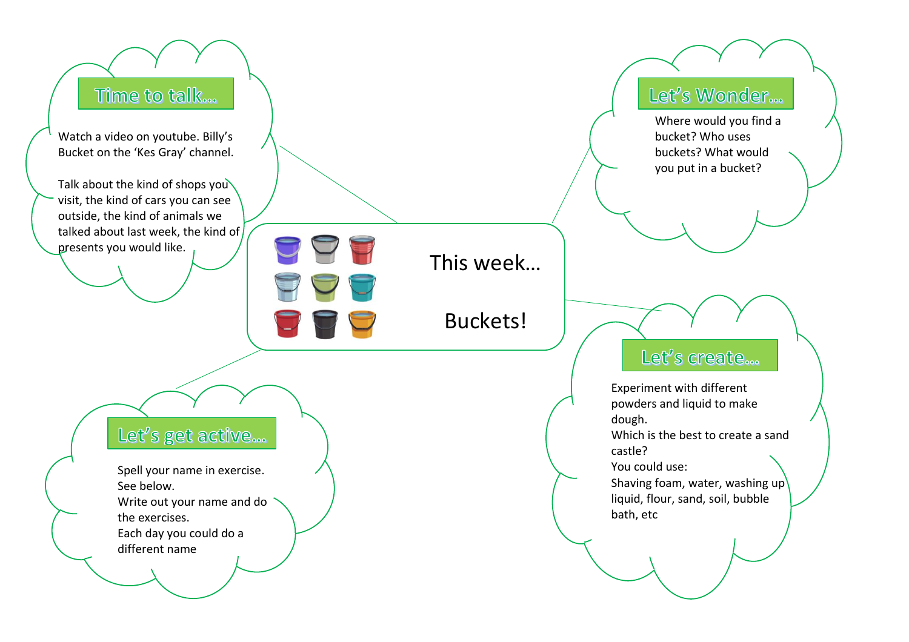